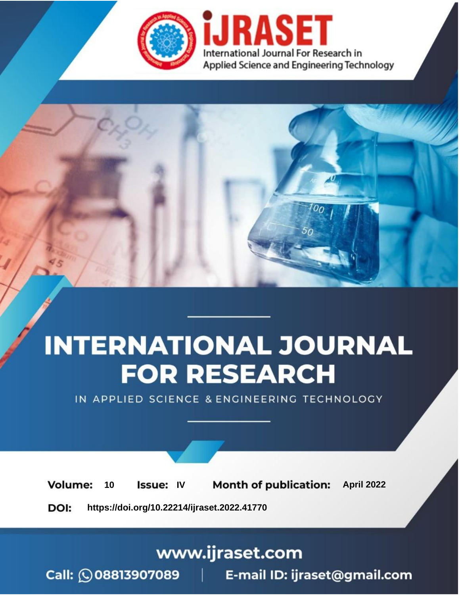

# **INTERNATIONAL JOURNAL FOR RESEARCH**

IN APPLIED SCIENCE & ENGINEERING TECHNOLOGY

10 **Issue: IV Month of publication:** April 2022 **Volume:** 

**https://doi.org/10.22214/ijraset.2022.41770**DOI:

www.ijraset.com

Call: 008813907089 | E-mail ID: ijraset@gmail.com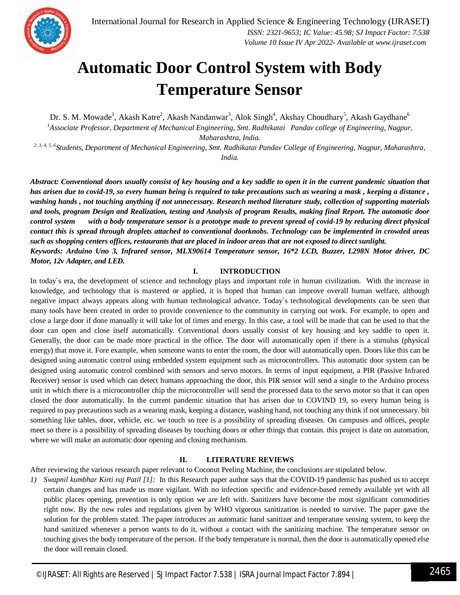

### **Automatic Door Control System with Body Temperature Sensor**

Dr. S. M. Mowade<sup>1</sup>, Akash Katre<sup>2</sup>, Akash Nandanwar<sup>3</sup>, Alok Singh<sup>4</sup>, Akshay Choudhary<sup>5</sup>, Akash Gaydhane<sup>6</sup> *<sup>1</sup>Associate Professor, Department of Mechanical Engineering, Smt. Radhikatai Pandav college of Engineering, Nagpur, Maharashtra, India.*

*2, 3, 4, 5, 6Students, Department of Mechanical Engineering, Smt. Radhikatai Pandav College of Engineering, Nagpur, Maharashtra, India.*

*Abstract: Conventional doors usually consist of key housing and a key saddle to open it in the current pandemic situation that has arisen due to covid-19, so every human being is required to take precautions such as wearing a mask , keeping a distance , washing hands , not touching anything if not unnecessary. Research method literature study, collection of supporting materials and tools, program Design and Realization, testing and Analysis of program Results, making final Report. The automatic door control system with a body temperature sensor is a prototype made to prevent spread of covid-19 by reducing direct physical contact this is spread through droplets attached to conventional doorknobs. Technology can be implemented in crowded areas such as shopping centers offices, restaurants that are placed in indoor areas that are not exposed to direct sunlight. Keywords: Arduino Uno 3, Infrared sensor, MLX90614 Temperature sensor, 16\*2 LCD, Buzzer, L298N Motor driver, DC Motor, 12v Adapter, and LED.*

#### **I. INTRODUCTION**

In today's era, the development of science and technology plays and important role in human civilization. With the increase in knowledge, and technology that is mastered or applied, it is hoped that human can improve overall human welfare, although negative impact always appears along with human technological advance. Today`s technological developments can be seen that many tools have been created in order to provide convenience to the community in carrying out work. For example, to open and close a large door if done manually it will take lot of times and energy. In this case, a tool will be made that can be used to that the door can open and close itself automatically. Conventional doors usually consist of key housing and key saddle to open it. Generally, the door can be made more practical in the office. The door will automatically open if there is a stimulus (physical energy) that move it. Fore example, when someone wants to enter the room, the door will automatically open. Doors like this can be designed using automatic control using embedded system equipment such as microcontrollers. This automatic door system can be designed using automatic control combined with sensors and servo motors. In terms of input equipment, a PIR (Passive Infrared Receiver) sensor is used which can detect humans approaching the door, this PIR sensor will send a single to the Arduino process unit in which there is a microcontroller chip the microcontroller will send the processed data to the servo motor so that it can open closed the door automatically. In the current pandemic situation that has arisen due to COVIND 19, so every human being is required to pay precautions such as a wearing mask, keeping a distance, washing hand, not touching any think if not unnecessary. bit something like tables, door, vehicle, etc. we touch so tree is a possibility of spreading diseases. On campuses and offices, people meet so there is a possibility of spreading diseases by touching doors or other things that contain. this project is date on automation, where we will make an automatic door opening and closing mechanism.

#### **II. LITERATURE REVIEWS**

After reviewing the various research paper relevant to Coconut Peeling Machine, the conclusions are stipulated below.

*1) Swapnil kumbhar Kirti raj Patil [1]:* In this Research paper author says that the COVID-19 pandemic has pushed us to accept certain changes and has made us more vigilant. With no infection specific and evidence-based remedy available yet with all public places opening, prevention is only option we are left with. Sanitizers have become the most significant commodities right now. By the new rules and regulations given by WHO vigorous sanitization is needed to survive. The paper gave the solution for the problem stated. The paper introduces an automatic hand sanitizer and temperature sensing system, to keep the hand sanitized whenever a person wants to do it, without a contact with the sanitizing machine. The temperature sensor on touching gives the body temperature of the person. If the body temperature is normal, then the door is automatically opened else the door will remain closed.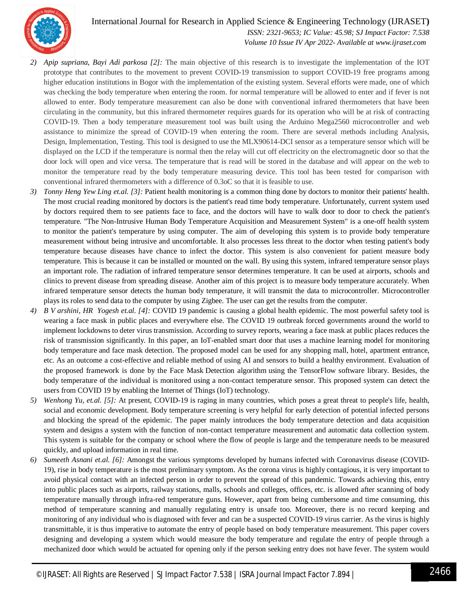

 *ISSN: 2321-9653; IC Value: 45.98; SJ Impact Factor: 7.538 Volume 10 Issue IV Apr 2022- Available at www.ijraset.com*

- *2) Apip supriana, Bayi Adi parkosa [2]:* The main objective of this research is to investigate the implementation of the IOT prototype that contributes to the movement to prevent COVID-19 transmission to support COVID-19 free programs among higher education institutions in Bogor with the implementation of the existing system. Several efforts were made, one of which was checking the body temperature when entering the room. for normal temperature will be allowed to enter and if fever is not allowed to enter. Body temperature measurement can also be done with conventional infrared thermometers that have been circulating in the community, but this infrared thermometer requires guards for its operation who will be at risk of contracting COVID-19. Then a body temperature measurement tool was built using the Arduino Mega2560 microcontroller and web assistance to minimize the spread of COVID-19 when entering the room. There are several methods including Analysis, Design, Implementation, Testing. This tool is designed to use the MLX90614-DCI sensor as a temperature sensor which will be displayed on the LCD if the temperature is normal then the relay will cut off electricity on the electromagnetic door so that the door lock will open and vice versa. The temperature that is read will be stored in the database and will appear on the web to monitor the temperature read by the body temperature measuring device. This tool has been tested for comparison with conventional infrared thermometers with a difference of 0.3oC so that it is feasible to use.
- *3) Tonny Heng Yew Ling et.al. [3]:* Patient health monitoring is a common thing done by doctors to monitor their patients' health. The most crucial reading monitored by doctors is the patient's read time body temperature. Unfortunately, current system used by doctors required them to see patients face to face, and the doctors will have to walk door to door to check the patient's temperature. "The Non-Intrusive Human Body Temperature Acquisition and Measurement System" is a one-off health system to monitor the patient's temperature by using computer. The aim of developing this system is to provide body temperature measurement without being intrusive and uncomfortable. It also processes less threat to the doctor when testing patient's body temperature because diseases have chance to infect the doctor. This system is also convenient for patient measure body temperature. This is because it can be installed or mounted on the wall. By using this system, infrared temperature sensor plays an important role. The radiation of infrared temperature sensor determines temperature. It can be used at airports, schools and clinics to prevent disease from spreading disease. Another aim of this project is to measure body temperature accurately. When infrared temperature sensor detects the human body temperature, it will transmit the data to microcontroller. Microcontroller plays its roles to send data to the computer by using Zigbee. The user can get the results from the computer.
- *4) B V arshini, HR Yogesh et.al. [4]:* COVID 19 pandemic is causing a global health epidemic. The most powerful safety tool is wearing a face mask in public places and everywhere else. The COVID 19 outbreak forced governments around the world to implement lockdowns to deter virus transmission. According to survey reports, wearing a face mask at public places reduces the risk of transmission significantly. In this paper, an IoT-enabled smart door that uses a machine learning model for monitoring body temperature and face mask detection. The proposed model can be used for any shopping mall, hotel, apartment entrance, etc. As an outcome a cost-effective and reliable method of using AI and sensors to build a healthy environment. Evaluation of the proposed framework is done by the Face Mask Detection algorithm using the TensorFlow software library. Besides, the body temperature of the individual is monitored using a non-contact temperature sensor. This proposed system can detect the users from COVID 19 by enabling the Internet of Things (IoT) technology.
- *5) Wenhong Yu, et.al. [5]:* At present, COVID-19 is raging in many countries, which poses a great threat to people's life, health, social and economic development. Body temperature screening is very helpful for early detection of potential infected persons and blocking the spread of the epidemic. The paper mainly introduces the body temperature detection and data acquisition system and designs a system with the function of non-contact temperature measurement and automatic data collection system. This system is suitable for the company or school where the flow of people is large and the temperature needs to be measured quickly, and upload information in real time.
- *6) Sumeeth Asnani et.al. [6]:* Amongst the various symptoms developed by humans infected with Coronavirus disease (COVID-19), rise in body temperature is the most preliminary symptom. As the corona virus is highly contagious, it is very important to avoid physical contact with an infected person in order to prevent the spread of this pandemic. Towards achieving this, entry into public places such as airports, railway stations, malls, schools and colleges, offices, etc. is allowed after scanning of body temperature manually through infra-red temperature guns. However, apart from being cumbersome and time consuming, this method of temperature scanning and manually regulating entry is unsafe too. Moreover, there is no record keeping and monitoring of any individual who is diagnosed with fever and can be a suspected COVID-19 virus carrier. As the virus is highly transmittable, it is thus imperative to automate the entry of people based on body temperature measurement. This paper covers designing and developing a system which would measure the body temperature and regulate the entry of people through a mechanized door which would be actuated for opening only if the person seeking entry does not have fever. The system would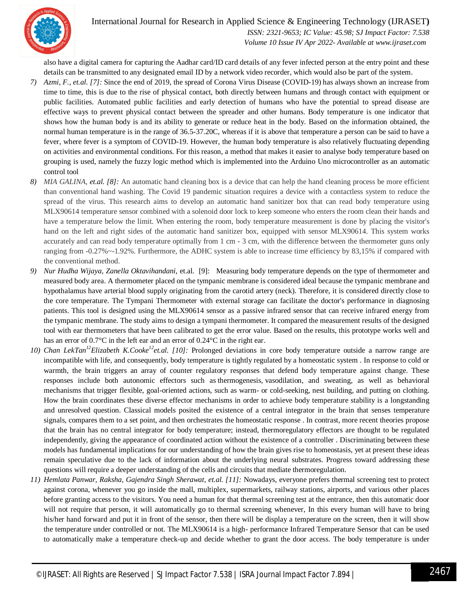

International Journal for Research in Applied Science & Engineering Technology (IJRASET**)**  *ISSN: 2321-9653; IC Value: 45.98; SJ Impact Factor: 7.538 Volume 10 Issue IV Apr 2022- Available at www.ijraset.com*

also have a digital camera for capturing the Aadhar card/ID card details of any fever infected person at the entry point and these details can be transmitted to any designated email ID by a network video recorder, which would also be part of the system.

- *7) Azmi, F., et.al. [7]:* Since the end of 2019, the spread of Corona Virus Disease (COVID-19) has always shown an increase from time to time, this is due to the rise of physical contact, both directly between humans and through contact with equipment or public facilities. Automated public facilities and early detection of humans who have the potential to spread disease are effective ways to prevent physical contact between the spreader and other humans. Body temperature is one indicator that shows how the human body is and its ability to generate or reduce heat in the body. Based on the information obtained, the normal human temperature is in the range of 36.5-37.20C, whereas if it is above that temperature a person can be said to have a fever, where fever is a symptom of COVID-19. However, the human body temperature is also relatively fluctuating depending on activities and environmental conditions. For this reason, a method that makes it easier to analyse body temperature based on grouping is used, namely the fuzzy logic method which is implemented into the Arduino Uno microcontroller as an automatic control tool
- *8) MIA GALINA, et.al. [8]:* An automatic hand cleaning box is a device that can help the hand cleaning process be more efficient than conventional hand washing. The Covid 19 pandemic situation requires a device with a contactless system to reduce the spread of the virus. This research aims to develop an automatic hand sanitizer box that can read body temperature using MLX90614 temperature sensor combined with a solenoid door lock to keep someone who enters the room clean their hands and have a temperature below the limit. When entering the room, body temperature measurement is done by placing the visitor's hand on the left and right sides of the automatic hand sanitizer box, equipped with sensor MLX90614. This system works accurately and can read body temperature optimally from 1 cm - 3 cm, with the difference between the thermometer guns only ranging from -0.27%~-1.92%. Furthermore, the ADHC system is able to increase time efficiency by 83,15% if compared with the conventional method.
- *9) Nur Hudha Wijaya, Zanella Oktavihandani,* et.al. [9]:Measuring body temperature depends on the type of thermometer and measured body area. A thermometer placed on the tympanic membrane is considered ideal because the tympanic membrane and hypothalamus have arterial blood supply originating from the carotid artery (neck). Therefore, it is considered directly close to the core temperature. The Tympani Thermometer with external storage can facilitate the doctor's performance in diagnosing patients. This tool is designed using the MLX90614 sensor as a passive infrared sensor that can receive infrared energy from the tympanic membrane. The study aims to design a tympani thermometer. It compared the measurement results of the designed tool with ear thermometers that have been calibrated to get the error value. Based on the results, this prototype works well and has an error of 0.7°C in the left ear and an error of 0.24°C in the right ear.
- *10) Chan LekTan<sup>12</sup>Elizabeth K.Cooke<sup>12</sup>et.al. [10]:* Prolonged deviations in core body temperature outside a narrow range are incompatible with life, and consequently, body temperature is tightly regulated by a homeostatic system . In response to cold or warmth, the brain triggers an array of counter regulatory responses that defend body temperature against change. These responses include both autonomic effectors such as thermogenesis, vasodilation, and sweating, as well as behavioral mechanisms that trigger flexible, goal-oriented actions, such as warm- or cold-seeking, nest building, and putting on clothing. How the brain coordinates these diverse effector mechanisms in order to achieve body temperature stability is a longstanding and unresolved question. Classical models posited the existence of a central integrator in the brain that senses temperature signals, compares them to a set point, and then orchestrates the homeostatic response . In contrast, more recent theories propose that the brain has no central integrator for body temperature; instead, thermoregulatory effectors are thought to be regulated independently, giving the appearance of coordinated action without the existence of a controller . Discriminating between these models has fundamental implications for our understanding of how the brain gives rise to homeostasis, yet at present these ideas remain speculative due to the lack of information about the underlying neural substrates. Progress toward addressing these questions will require a deeper understanding of the cells and circuits that mediate thermoregulation.
- *11) Hemlata Panwar, Raksha, Gajendra Singh Sherawat, et.al. [11]:* Nowadays, everyone prefers thermal screening test to protect against corona, whenever you go inside the mall, multiplex, supermarkets, railway stations, airports, and various other places before granting access to the visitors. You need a human for that thermal screening test at the entrance, then this automatic door will not require that person, it will automatically go to thermal screening whenever, In this every human will have to bring his/her hand forward and put it in front of the sensor, then there will be display a temperature on the screen, then it will show the temperature under controlled or not. The MLX90614 is a high- performance Infrared Temperature Sensor that can be used to automatically make a temperature check-up and decide whether to grant the door access. The body temperature is under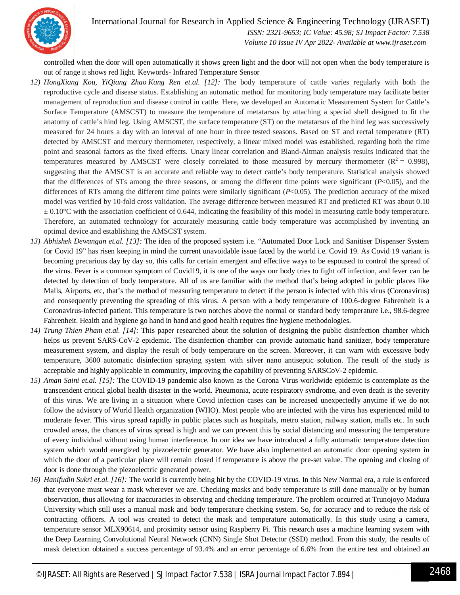

 *ISSN: 2321-9653; IC Value: 45.98; SJ Impact Factor: 7.538 Volume 10 Issue IV Apr 2022- Available at www.ijraset.com*

controlled when the door will open automatically it shows green light and the door will not open when the body temperature is out of range it shows red light. Keywords- Infrared Temperature Sensor

- *12) HongXiang Kou, YiQiang Zhao Kang Ren et.al. [12]:* The body temperature of cattle varies regularly with both the reproductive cycle and disease status. Establishing an automatic method for monitoring body temperature may facilitate better management of reproduction and disease control in cattle. Here, we developed an Automatic Measurement System for Cattle's Surface Temperature (AMSCST) to measure the temperature of metatarsus by attaching a special shell designed to fit the anatomy of cattle's hind leg. Using AMSCST, the surface temperature (ST) on the metatarsus of the hind leg was successively measured for 24 hours a day with an interval of one hour in three tested seasons. Based on ST and rectal temperature (RT) detected by AMSCST and mercury thermometer, respectively, a linear mixed model was established, regarding both the time point and seasonal factors as the fixed effects. Unary linear correlation and Bland-Altman analysis results indicated that the temperatures measured by AMSCST were closely correlated to those measured by mercury thermometer ( $R^2 = 0.998$ ), suggesting that the AMSCST is an accurate and reliable way to detect cattle's body temperature. Statistical analysis showed that the differences of STs among the three seasons, or among the different time points were significant  $(P<0.05)$ , and the differences of RTs among the different time points were similarly significant (*P*<0.05). The prediction accuracy of the mixed model was verified by 10-fold cross validation. The average difference between measured RT and predicted RT was about 0.10  $\pm 0.10^{\circ}$ C with the association coefficient of 0.644, indicating the feasibility of this model in measuring cattle body temperature. Therefore, an automated technology for accurately measuring cattle body temperature was accomplished by inventing an optimal device and establishing the AMSCST system.
- *13) Abhishek Dewangan et.al. [13]:* The idea of the proposed system i.e. "Automated Door Lock and Sanitiser Dispenser System for Covid 19" has risen keeping in mind the current unavoidable issue faced by the world i.e. Covid 19. As Covid 19 variant is becoming precarious day by day so, this calls for certain emergent and effective ways to be espoused to control the spread of the virus. Fever is a common symptom of Covid19, it is one of the ways our body tries to fight off infection, and fever can be detected by detection of body temperature. All of us are familiar with the method that's being adopted in public places like Malls, Airports, etc, that's the method of measuring temperature to detect if the person is infected with this virus (Coronavirus) and consequently preventing the spreading of this virus. A person with a body temperature of 100.6-degree Fahrenheit is a Coronavirus-infected patient. This temperature is two notches above the normal or standard body temperature i.e., 98.6-degree Fahrenheit. Health and hygiene go hand in hand and good health requires fine hygiene methodologies.
- *14) Trung Thien Pham et.al. [14]:* This paper researched about the solution of designing the public disinfection chamber which helps us prevent SARS-CoV-2 epidemic. The disinfection chamber can provide automatic hand sanitizer, body temperature measurement system, and display the result of body temperature on the screen. Moreover, it can warn with excessive body temperature, 3600 automatic disinfection spraying system with silver nano antiseptic solution. The result of the study is acceptable and highly applicable in community, improving the capability of preventing SARSCoV-2 epidemic.
- *15) Aman Saini et.al. [15]:* The COVID-19 pandemic also known as the Corona Virus worldwide epidemic is contemplate as the transcendent critical global health disaster in the world. Pneumonia, acute respiratory syndrome, and even death is the severity of this virus. We are living in a situation where Covid infection cases can be increased unexpectedly anytime if we do not follow the advisory of World Health organization (WHO). Most people who are infected with the virus has experienced mild to moderate fever. This virus spread rapidly in public places such as hospitals, metro station, railway station, malls etc. In such crowded areas, the chances of virus spread is high and we can prevent this by social distancing and measuring the temperature of every individual without using human interference. In our idea we have introduced a fully automatic temperature detection system which would energized by piezoelectric generator. We have also implemented an automatic door opening system in which the door of a particular place will remain closed if temperature is above the pre-set value. The opening and closing of door is done through the piezoelectric generated power.
- *16) Hanifudin Sukri et.al. [16]:* The world is currently being hit by the COVID-19 virus. In this New Normal era, a rule is enforced that everyone must wear a mask wherever we are. Checking masks and body temperature is still done manually or by human observation, thus allowing for inaccuracies in observing and checking temperature. The problem occurred at Trunojoyo Madura University which still uses a manual mask and body temperature checking system. So, for accuracy and to reduce the risk of contracting officers. A tool was created to detect the mask and temperature automatically. In this study using a camera, temperature sensor MLX90614, and proximity sensor using Raspberry Pi. This research uses a machine learning system with the Deep Learning Convolutional Neural Network (CNN) Single Shot Detector (SSD) method. From this study, the results of mask detection obtained a success percentage of 93.4% and an error percentage of 6.6% from the entire test and obtained an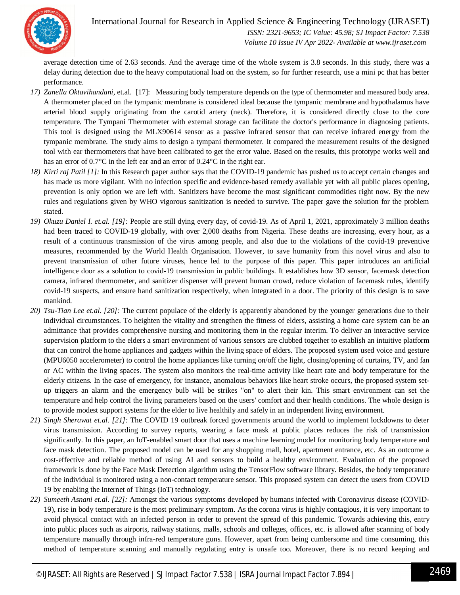

 *ISSN: 2321-9653; IC Value: 45.98; SJ Impact Factor: 7.538 Volume 10 Issue IV Apr 2022- Available at www.ijraset.com*

average detection time of 2.63 seconds. And the average time of the whole system is 3.8 seconds. In this study, there was a delay during detection due to the heavy computational load on the system, so for further research, use a mini pc that has better performance.

- *17) Zanella Oktavihandani,* et.al. [17]:Measuring body temperature depends on the type of thermometer and measured body area. A thermometer placed on the tympanic membrane is considered ideal because the tympanic membrane and hypothalamus have arterial blood supply originating from the carotid artery (neck). Therefore, it is considered directly close to the core temperature. The Tympani Thermometer with external storage can facilitate the doctor's performance in diagnosing patients. This tool is designed using the MLX90614 sensor as a passive infrared sensor that can receive infrared energy from the tympanic membrane. The study aims to design a tympani thermometer. It compared the measurement results of the designed tool with ear thermometers that have been calibrated to get the error value. Based on the results, this prototype works well and has an error of 0.7°C in the left ear and an error of 0.24°C in the right ear.
- *18) Kirti raj Patil [1]:* In this Research paper author says that the COVID-19 pandemic has pushed us to accept certain changes and has made us more vigilant. With no infection specific and evidence-based remedy available yet with all public places opening, prevention is only option we are left with. Sanitizers have become the most significant commodities right now. By the new rules and regulations given by WHO vigorous sanitization is needed to survive. The paper gave the solution for the problem stated.
- *19) Okuzu Daniel I. et.al. [19]:* People are still dying every day, of covid-19. As of April 1, 2021, approximately 3 million deaths had been traced to COVID-19 globally, with over 2,000 deaths from Nigeria. These deaths are increasing, every hour, as a result of a continuous transmission of the virus among people, and also due to the violations of the covid-19 preventive measures, recommended by the World Health Organisation. However, to save humanity from this novel virus and also to prevent transmission of other future viruses, hence led to the purpose of this paper. This paper introduces an artificial intelligence door as a solution to covid-19 transmission in public buildings. It establishes how 3D sensor, facemask detection camera, infrared thermometer, and sanitizer dispenser will prevent human crowd, reduce violation of facemask rules, identify covid-19 suspects, and ensure hand sanitization respectively, when integrated in a door. The priority of this design is to save mankind.
- *20) Tsu-Tian Lee et.al. [20]:* The current populace of the elderly is apparently abandoned by the younger generations due to their individual circumstances. To heighten the vitality and strengthen the fitness of elders, assisting a home care system can be an admittance that provides comprehensive nursing and monitoring them in the regular interim. To deliver an interactive service supervision platform to the elders a smart environment of various sensors are clubbed together to establish an intuitive platform that can control the home appliances and gadgets within the living space of elders. The proposed system used voice and gesture (MPU6050 accelerometer) to control the home appliances like turning on/off the light, closing/opening of curtains, TV, and fan or AC within the living spaces. The system also monitors the real-time activity like heart rate and body temperature for the elderly citizens. In the case of emergency, for instance, anomalous behaviors like heart stroke occurs, the proposed system setup triggers an alarm and the emergency bulb will be strikes "on" to alert their kin. This smart environment can set the temperature and help control the living parameters based on the users' comfort and their health conditions. The whole design is to provide modest support systems for the elder to live healthily and safely in an independent living environment.
- *21) Singh Sherawat et.al. [21]:* The COVID 19 outbreak forced governments around the world to implement lockdowns to deter virus transmission. According to survey reports, wearing a face mask at public places reduces the risk of transmission significantly. In this paper, an IoT-enabled smart door that uses a machine learning model for monitoring body temperature and face mask detection. The proposed model can be used for any shopping mall, hotel, apartment entrance, etc. As an outcome a cost-effective and reliable method of using AI and sensors to build a healthy environment. Evaluation of the proposed framework is done by the Face Mask Detection algorithm using the TensorFlow software library. Besides, the body temperature of the individual is monitored using a non-contact temperature sensor. This proposed system can detect the users from COVID 19 by enabling the Internet of Things (IoT) technology.
- *22) Sumeeth Asnani et.al. [22]:* Amongst the various symptoms developed by humans infected with Coronavirus disease (COVID-19), rise in body temperature is the most preliminary symptom. As the corona virus is highly contagious, it is very important to avoid physical contact with an infected person in order to prevent the spread of this pandemic. Towards achieving this, entry into public places such as airports, railway stations, malls, schools and colleges, offices, etc. is allowed after scanning of body temperature manually through infra-red temperature guns. However, apart from being cumbersome and time consuming, this method of temperature scanning and manually regulating entry is unsafe too. Moreover, there is no record keeping and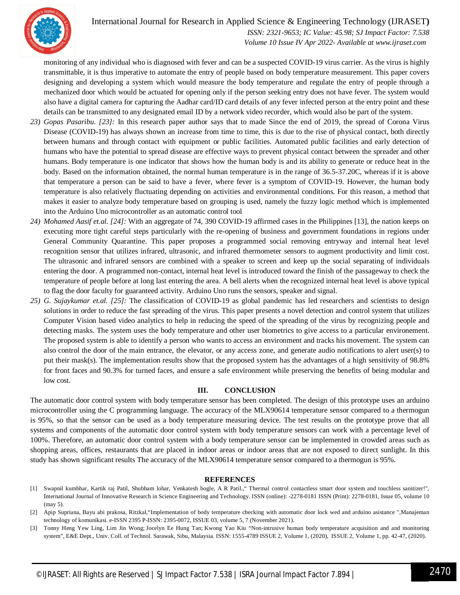

 *ISSN: 2321-9653; IC Value: 45.98; SJ Impact Factor: 7.538 Volume 10 Issue IV Apr 2022- Available at www.ijraset.com*

monitoring of any individual who is diagnosed with fever and can be a suspected COVID-19 virus carrier. As the virus is highly transmittable, it is thus imperative to automate the entry of people based on body temperature measurement. This paper covers designing and developing a system which would measure the body temperature and regulate the entry of people through a mechanized door which would be actuated for opening only if the person seeking entry does not have fever. The system would also have a digital camera for capturing the Aadhar card/ID card details of any fever infected person at the entry point and these details can be transmitted to any designated email ID by a network video recorder, which would also be part of the system.

- *23) Gopas Pasaribu. [23]:* In this research paper author says that to made Since the end of 2019, the spread of Corona Virus Disease (COVID-19) has always shown an increase from time to time, this is due to the rise of physical contact, both directly between humans and through contact with equipment or public facilities. Automated public facilities and early detection of humans who have the potential to spread disease are effective ways to prevent physical contact between the spreader and other humans. Body temperature is one indicator that shows how the human body is and its ability to generate or reduce heat in the body. Based on the information obtained, the normal human temperature is in the range of 36.5-37.20C, whereas if it is above that temperature a person can be said to have a fever, where fever is a symptom of COVID-19. However, the human body temperature is also relatively fluctuating depending on activities and environmental conditions. For this reason, a method that makes it easier to analyze body temperature based on grouping is used, namely the fuzzy logic method which is implemented into the Arduino Uno microcontroller as an automatic control tool
- *24) Mohamed Aasif et.al. [24]:* With an aggregate of 74, 390 COVID-19 affirmed cases in the Philippines [13], the nation keeps on executing more tight careful steps particularly with the re-opening of business and government foundations in regions under General Community Quarantine. This paper proposes a programmed social removing entryway and internal heat level recognition sensor that utilizes infrared, ultrasonic, and infrared thermometer sensors to augment productivity and limit cost. The ultrasonic and infrared sensors are combined with a speaker to screen and keep up the social separating of individuals entering the door. A programmed non-contact, internal heat level is introduced toward the finish of the passageway to check the temperature of people before at long last entering the area. A bell alerts when the recognized internal heat level is above typical to flag the door faculty for guaranteed activity. Arduino Uno runs the sensors, speaker and signal.
- *25) G. Sujaykumar et.al. [25]:* The classification of COVID-19 as global pandemic has led researchers and scientists to design solutions in order to reduce the fast spreading of the virus. This paper presents a novel detection and control system that utilizes Computer Vision based video analytics to help in reducing the speed of the spreading of the virus by recognizing people and detecting masks. The system uses the body temperature and other user biometrics to give access to a particular environement. The proposed system is able to identify a person who wants to access an environment and tracks his movement. The system can also control the door of the main entrance, the elevator, or any access zone, and generate audio notifications to alert user(s) to put their mask(s). The implementation results show that the proposed system has the advantages of a high sensitivity of 98.8% for front faces and 90.3% for turned faces, and ensure a safe environment while preserving the benefits of being modular and low cost.

#### **III. CONCLUSION**

The automatic door control system with body temperature sensor has been completed. The design of this prototype uses an arduino microcontroller using the C programming language. The accuracy of the MLX90614 temperature sensor compared to a thermogun is 95%, so that the sensor can be used as a body temperature measuring device. The test results on the prototype prove that all systems and components of the automatic door control system with body temperature sensors can work with a percentage level of 100%. Therefore, an automatic door control system with a body temperature sensor can be implemented in crowded areas such as shopping areas, offices, restaurants that are placed in indoor areas or indoor areas that are not exposed to direct sunlight. In this study has shown significant results The accuracy of the MLX90614 temperature sensor compared to a thermogun is 95%.

#### **REFERENCES**

[3] Tonny Heng Yew Ling, Lim Jin Wong; Jocelyn Ee Hung Tan; Kwong Yao Kiu "Non-intrusive human body temperature acquisition and and monitoring system", E&E Dept., Univ. Coll. of Technol. Sarawak, Sibu, Malaysia. ISSN: 1555-4789 ISSUE 2, Volume 1, (2020), ISSUE 2, Volume 1, pp. 42-47, (2020).

<sup>[1]</sup> Swapnil kumbhar, Kartik raj Patil, Shubham lohar, Venkatesh bogle, A R Patil.," Thermal control contactless smart door system and touchless sanitizer!", International Journal of Innovative Research in Science Engineering and Technology. ISSN (online): -2278-0181 ISSN (Print): 2278-0181, Issue 05, volume 10 (may 5).

<sup>[2]</sup> Apip Supriana, Bayu abi prakosa, Ritzkal,"Implementation of body temperature checking with automatic door lock wed and arduino asistance ",Manajeman technology of komunikasi. e-ISSN 2395 P-ISSN: 2395-0072, ISSUE 03, volume 5, 7 (November 2021).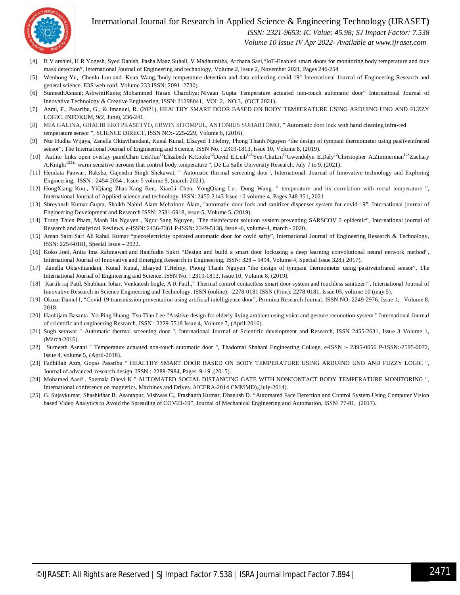

 *ISSN: 2321-9653; IC Value: 45.98; SJ Impact Factor: 7.538*

 *Volume 10 Issue IV Apr 2022- Available at www.ijraset.com*

- [4] B V arshini, H R Yogesh, Syed Danish, Pasha Maaz Suhail, V Madhumitha, Archana Sasi,"IoT-Enabled smart doors for monitoring body temperature and face mask detection", International Journal of Engineering and technology, Volume 2, Issue 2, November 2021, Pages 246-254
- [5] Wenhong Yu, Chenlu Luo and Kuan Wang,"body temperature detection and data collecting covid 19" International Journal of Engineering Research and general science. E3S web conf. Volume 233 ISSN: 2091 -2730).
- [6] SumeethAsnani; AshwiniKunte; Mohammed Hasan Charoliya; Nivaan Gupta Temperature actuated non-touch automatic door" International Journal of Innovative Technology & Creative Engineering, ISSN: 21298041, VOL.2, NO.3, (OCT 2021).
- [7] Azmi, F., Pasaribu, G., & Imanuel, R. (2021). HEALTHY SMART DOOR BASED ON BODY TEMPERATURE USING ARDUINO UNO AND FUZZY LOGIC. INFOKUM, 9(2, June), 236-241.
- [8] MIA GALINA, GHALIB EKO PRASETYO, ERWIN SITOMPUL, ANTONIUS SUHARTOMO, " Automatic door lock with hand cleaning infra-red temperature sensor ", SCIENCE DIRECT, ISSN NO:- 225-229, Volume 6, (2016).
- [9] Nur Hudha Wijaya, Zanella Oktavihandani, Kunal Kunal, Elsayed T.Helmy, Phong Thanh Nguyen "the design of tympani thermometer using pasiiveinfrared sensor", The International Journal of Engineering and Science, ISSN No. : 2319-1813, Issue 10, Volume 8, (2019).
- [10] Author links open overlay panelChan LekTan<sup>12</sup>Elizabeth K.Cooke<sup>12</sup>David E.Leib<sup>123</sup>Yen-ChuLin<sup>12</sup>Gwendolyn E.Daly<sup>12</sup>Christopher A.Zimmerman<sup>123</sup>Zachary A.Knight<sup>1234</sup>" warm sensitive nerouns that control body temperature ", De La Salle University Research. July 7 to 9, (2021).
- [11] Hemlata Panwar, Raksha, Gajendra Singh Shekawat, " Automatic thermal screening door", International. Journal of Innovative technology and Exploring Engineering, ISSN :-2454-2054 , Issue-5 volume 9, (march-2021).
- [12] HongXiang Kou , YiQiang Zhao Kang Ren, XiaoLi Chen, YongQiang Lu , Dong Wang. " temperature and its correlation with rectal temperature ", International Journal of Applied science and technology. ISSN: 2455-2143 Issue-10 volume-4, Pages 348-351, 2021
- [13] Shreyansh Kumar Gupta, Shaikh Nahid Alam Mehafooz Alam, "automatic door lock and sanitizer dispenser system for covid 19". International journal of Engineering Development and Research ISSN: 2581-6918, issue-5, Volume 5, (2019).
- [14] Trung Thien Pham, Manh Ha Nguyen , Ngoc Sang Nguyen, "The disinfectant solution system preventing SARSCOV 2 epidemic", International journal of Research and analytical Reviews. e-ISSN: 2456-7361 P-ISSN: 2349-5138, Issue -6, volume-4, march - 2020.
- [15] Aman Saini Saif Ali Rahul Kumar "piezoelectricity operated automatic door for covid safty", International Journal of Engineering Research & Technology, ISSN: 2254-0181, Special Issue – 2022.
- [16] Koko Joni, Anita Ima Rahmawati and Hanifudin Sukri "Design and build a smart door lockusing a deep learning convolutional neural network method", International Journal of Innovative and Emerging Research in Engineering, ISSN: 328 – 5494, Volume 4, Special Issue 328,( 2017).
- [17] Zanella Oktavihandani, Kunal Kunal, Elsayed T.Helmy, Phong Thanh Nguyen "the design of tympani thermometer using pasiiveinfrared sensor", The International Journal of Engineering and Science, ISSN No. : 2319-1813, Issue 10, Volume 8, (2019).
- [18] Kartik raj Patil, Shubham lohar, Venkatesh bogle, A R Patil.," Thermal control contactless smart door system and touchless sanitizer!", International Journal of Innovative Research in Science Engineering and Technology. ISSN (online): -2278-0181 ISSN (Print): 2278-0181, Issue 05, volume 10 (may 5).
- [19] Okuzu Daniel I, "Covid-19 transmission preventation using artificial intelligience door", Promina Research Journal, ISSN NO: 2249-2976, Issue 1, Volume 8, 2018.
- [20] Haobijam Basanta Yo-Ping Huang Tsu-Tian Lee "Assitive design for elderly living ambient using voice and gesture reconotion system " International Journal of scientific and engineering Research. ISSN : 2229-5518 Issue 4, Volume 7, (April-2016).
- [21] Sugh serawat " Automatic thermal screening door ", International Journal of Scientific development and Research, ISSN 2455-2631, Issue 3 Volume 1, (March-2016).
- [22] Sumeeth Asnani " Temperature actuated non-touch automatic door ", Thadomal Shahani Engineering College, e-ISSN :- 2395-0056 P-1SSN:-2595-0072, Issue 4, volume 5, (April-2018).
- [23] Fadhillah Azm, Gopas Pasaribu " HEALTHY SMART DOOR BASED ON BODY TEMPERATURE USING ARDUINO UNO AND FUZZY LOGIC ", Journal of advanced research design, ISSN :-2289-7984, Pages. 9-19 ,(2015).
- [24] Mohamed Aasif , Saemala Dhevi K " AUTOMATED SOCIAL DISTANCING GATE WITH NONCONTACT BODY TEMPERATURE MONITORING ", International conference on magnetics, Machines and Drives. AICERA-2014 CMMMD),(July-2014).
- [25] G. Sujaykumar, Shashidhar B. Asantapur, Vishwas C., Prashanth Kumar, Dhanush D. "Automated Face Detection and Control System Using Computer Vision based Video Analytics to Avoid the Spreading of COVID-19", Journal of Mechanical Engineering and Automation, ISSN: 77-81, (2017).